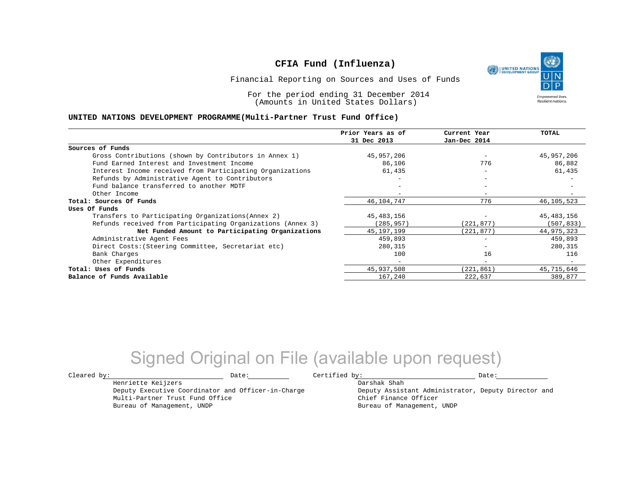UNITED NATIONS **Empowered lives** Resilient nations.

Financial Reporting on Sources and Uses of Funds

For the period ending 31 December 2014 (Amounts in United States Dollars)

#### **UNITED NATIONS DEVELOPMENT PROGRAMME(Multi-Partner Trust Fund Office)**

|                                                             | Prior Years as of | Current Year             | TOTAL        |
|-------------------------------------------------------------|-------------------|--------------------------|--------------|
|                                                             | 31 Dec 2013       | Jan-Dec 2014             |              |
| Sources of Funds                                            |                   |                          |              |
| Gross Contributions (shown by Contributors in Annex 1)      | 45,957,206        |                          | 45,957,206   |
| Fund Earned Interest and Investment Income                  | 86,106            | 776                      | 86,882       |
| Interest Income received from Participating Organizations   | 61,435            | $\overline{\phantom{0}}$ | 61,435       |
| Refunds by Administrative Agent to Contributors             |                   | $\overline{\phantom{m}}$ |              |
| Fund balance transferred to another MDTF                    |                   |                          |              |
| Other Income                                                |                   |                          |              |
| Total: Sources Of Funds                                     | 46, 104, 747      | 776                      | 46,105,523   |
| Uses Of Funds                                               |                   |                          |              |
| Transfers to Participating Organizations (Annex 2)          | 45,483,156        |                          | 45, 483, 156 |
| Refunds received from Participating Organizations (Annex 3) | (285,957)         | (221, 877)               | (507, 833)   |
| Net Funded Amount to Participating Organizations            | 45, 197, 199      | (221, 877)               | 44,975,323   |
| Administrative Agent Fees                                   | 459,893           | $\overline{\phantom{m}}$ | 459,893      |
| Direct Costs: (Steering Committee, Secretariat etc)         | 280,315           |                          | 280,315      |
| Bank Charges                                                | 100               | 16                       | 116          |
| Other Expenditures                                          | $-$               | $\overline{\phantom{0}}$ |              |
| Total: Uses of Funds                                        | 45,937,508        | (221, 861)               | 45,715,646   |
| Balance of Funds Available                                  | 167,240           | 222,637                  | 389,877      |

## Signed Original on File (available upon request)

 $\texttt{Cleared by:}\footnotesize \begin{minipage}{14pt} \begin{tabular}{p{0.87\textwidth}p{0.87\textwidth}} \centering \end{tabular} \end{minipage}$ 

Darshak Shah

Deputy Assistant Administrator, Deputy Director and Chief Finance Officer Bureau of Management, UNDP

Henriette Keijzers Deputy Executive Coordinator and Officer-in-Charge Multi-Partner Trust Fund Office Bureau of Management, UNDP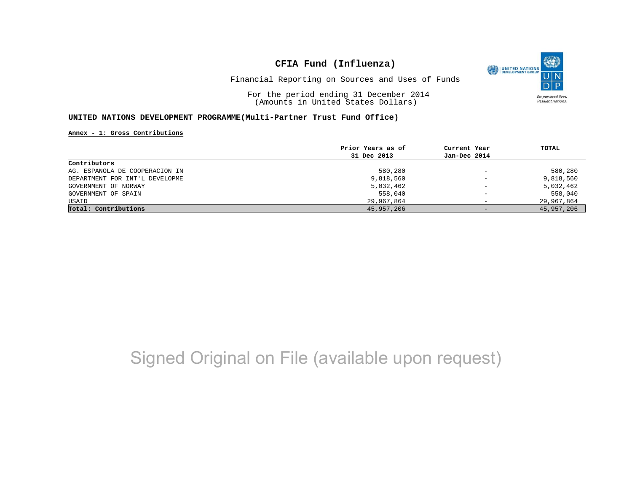

Financial Reporting on Sources and Uses of Funds

For the period ending 31 December 2014 (Amounts in United States Dollars)

### **UNITED NATIONS DEVELOPMENT PROGRAMME(Multi-Partner Trust Fund Office)**

#### **Annex - 1: Gross Contributions**

|                                | Prior Years as of | Current Year             | TOTAL      |
|--------------------------------|-------------------|--------------------------|------------|
|                                | 31 Dec 2013       | Jan-Dec 2014             |            |
| Contributors                   |                   |                          |            |
| AG. ESPANOLA DE COOPERACION IN | 580,280           | $\qquad \qquad -$        | 580,280    |
| DEPARTMENT FOR INT'L DEVELOPME | 9,818,560         | $\qquad \qquad -$        | 9,818,560  |
| GOVERNMENT OF NORWAY           | 5,032,462         | $\qquad \qquad -$        | 5,032,462  |
| GOVERNMENT OF SPAIN            | 558,040           | $\overline{\phantom{0}}$ | 558,040    |
| USAID                          | 29,967,864        | -                        | 29,967,864 |
| Total: Contributions           | 45,957,206        | $-$                      | 45,957,206 |

# Signed Original on File (available upon request)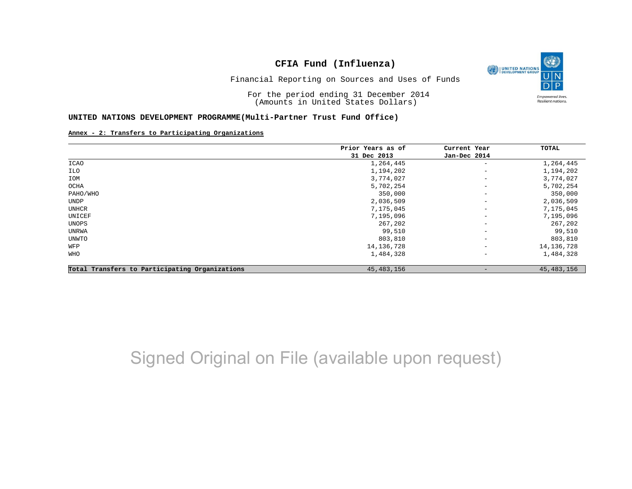O UNITED NATIONS **Empowered lives** Resilient nations.

Financial Reporting on Sources and Uses of Funds

For the period ending 31 December 2014 (Amounts in United States Dollars)

#### **UNITED NATIONS DEVELOPMENT PROGRAMME(Multi-Partner Trust Fund Office)**

#### **Annex - 2: Transfers to Participating Organizations**

|                                                | Prior Years as of | Current Year             | TOTAL        |
|------------------------------------------------|-------------------|--------------------------|--------------|
|                                                | 31 Dec 2013       | Jan-Dec 2014             |              |
| <b>ICAO</b>                                    | 1,264,445         | $\overline{\phantom{m}}$ | 1,264,445    |
| ILO                                            | 1,194,202         | $\qquad \qquad -$        | 1,194,202    |
| IOM                                            | 3,774,027         | $\overline{\phantom{m}}$ | 3,774,027    |
| OCHA                                           | 5,702,254         | $\qquad \qquad -$        | 5,702,254    |
| PAHO/WHO                                       | 350,000           | $\qquad \qquad -$        | 350,000      |
| UNDP                                           | 2,036,509         | $\qquad \qquad -$        | 2,036,509    |
| UNHCR                                          | 7,175,045         | $\qquad \qquad -$        | 7,175,045    |
| UNICEF                                         | 7,195,096         | $\qquad \qquad -$        | 7,195,096    |
| UNOPS                                          | 267,202           | $\qquad \qquad -$        | 267,202      |
| UNRWA                                          | 99,510            | $\qquad \qquad -$        | 99,510       |
| UNWTO                                          | 803,810           | $\overline{\phantom{a}}$ | 803,810      |
| WFP                                            | 14, 136, 728      | $\qquad \qquad -$        | 14, 136, 728 |
| WHO                                            | 1,484,328         | $\overline{\phantom{a}}$ | 1,484,328    |
| Total Transfers to Participating Organizations | 45, 483, 156      | $\qquad \qquad -$        | 45, 483, 156 |

# Signed Original on File (available upon request)